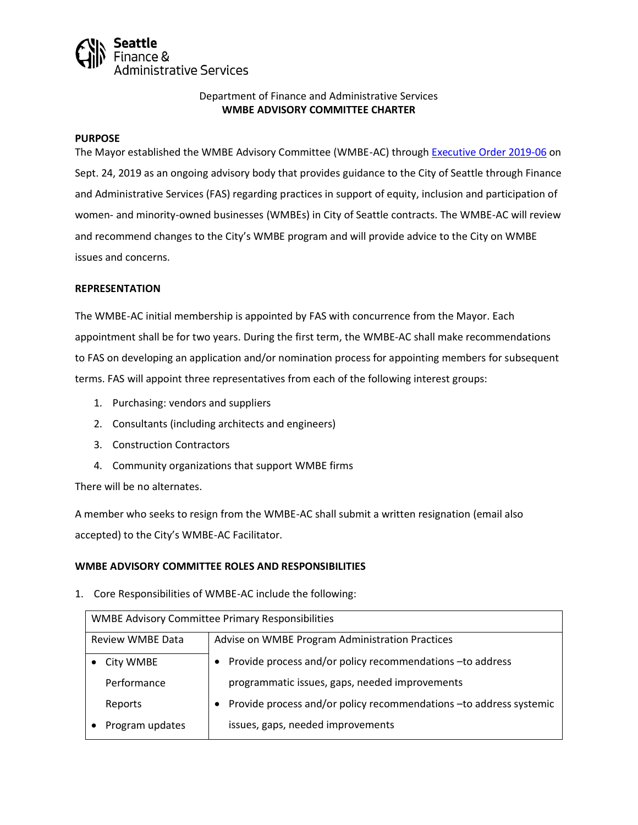

# Department of Finance and Administrative Services **WMBE ADVISORY COMMITTEE CHARTER**

#### **PURPOSE**

The Mayor established the WMBE Advisory Committee (WMBE-AC) through [Executive Order 2019-06](https://www.seattle.gov/Documents/Departments/FAS/PurchasingAndContracting/WMBE/Executive-Order-2019-06.pdf) on Sept. 24, 2019 as an ongoing advisory body that provides guidance to the City of Seattle through Finance and Administrative Services (FAS) regarding practices in support of equity, inclusion and participation of women- and minority-owned businesses (WMBEs) in City of Seattle contracts. The WMBE-AC will review and recommend changes to the City's WMBE program and will provide advice to the City on WMBE issues and concerns.

#### **REPRESENTATION**

The WMBE-AC initial membership is appointed by FAS with concurrence from the Mayor. Each appointment shall be for two years. During the first term, the WMBE-AC shall make recommendations to FAS on developing an application and/or nomination process for appointing members for subsequent terms. FAS will appoint three representatives from each of the following interest groups:

- 1. Purchasing: vendors and suppliers
- 2. Consultants (including architects and engineers)
- 3. Construction Contractors
- 4. Community organizations that support WMBE firms

There will be no alternates.

A member who seeks to resign from the WMBE-AC shall submit a written resignation (email also accepted) to the City's WMBE-AC Facilitator.

#### **WMBE ADVISORY COMMITTEE ROLES AND RESPONSIBILITIES**

1. Core Responsibilities of WMBE-AC include the following:

| <b>WMBE Advisory Committee Primary Responsibilities</b> |                                                                     |  |  |  |
|---------------------------------------------------------|---------------------------------------------------------------------|--|--|--|
| Review WMBE Data                                        | Advise on WMBE Program Administration Practices                     |  |  |  |
| City WMBE                                               | Provide process and/or policy recommendations - to address          |  |  |  |
| Performance                                             | programmatic issues, gaps, needed improvements                      |  |  |  |
| Reports                                                 | Provide process and/or policy recommendations - to address systemic |  |  |  |
| Program updates                                         | issues, gaps, needed improvements                                   |  |  |  |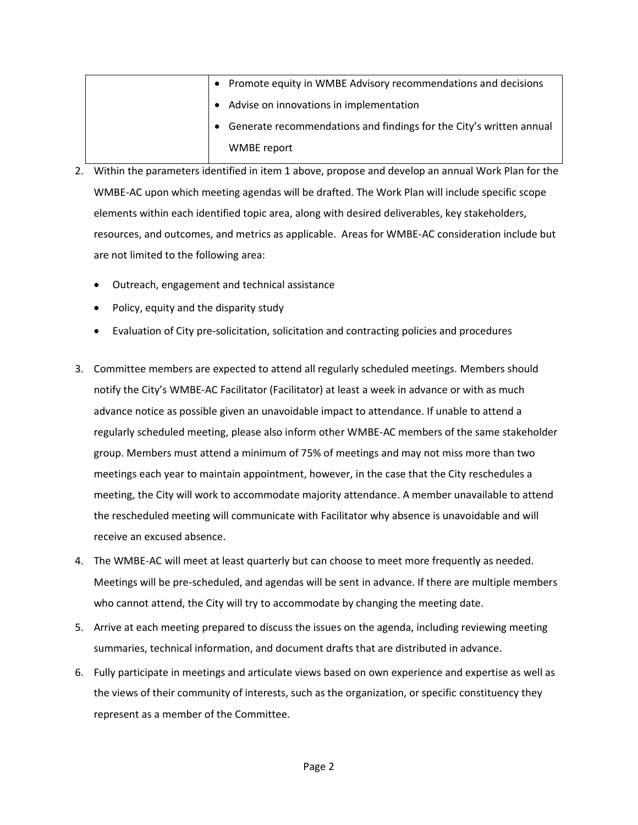|  | • Promote equity in WMBE Advisory recommendations and decisions     |
|--|---------------------------------------------------------------------|
|  | Advise on innovations in implementation                             |
|  | Generate recommendations and findings for the City's written annual |
|  | WMBE report                                                         |

- 2. Within the parameters identified in item 1 above, propose and develop an annual Work Plan for the WMBE-AC upon which meeting agendas will be drafted. The Work Plan will include specific scope elements within each identified topic area, along with desired deliverables, key stakeholders, resources, and outcomes, and metrics as applicable. Areas for WMBE-AC consideration include but are not limited to the following area:
	- Outreach, engagement and technical assistance
	- Policy, equity and the disparity study
	- Evaluation of City pre-solicitation, solicitation and contracting policies and procedures
- 3. Committee members are expected to attend all regularly scheduled meetings. Members should notify the City's WMBE-AC Facilitator (Facilitator) at least a week in advance or with as much advance notice as possible given an unavoidable impact to attendance. If unable to attend a regularly scheduled meeting, please also inform other WMBE-AC members of the same stakeholder group. Members must attend a minimum of 75% of meetings and may not miss more than two meetings each year to maintain appointment, however, in the case that the City reschedules a meeting, the City will work to accommodate majority attendance. A member unavailable to attend the rescheduled meeting will communicate with Facilitator why absence is unavoidable and will receive an excused absence.
- 4. The WMBE-AC will meet at least quarterly but can choose to meet more frequently as needed. Meetings will be pre-scheduled, and agendas will be sent in advance. If there are multiple members who cannot attend, the City will try to accommodate by changing the meeting date.
- 5. Arrive at each meeting prepared to discuss the issues on the agenda, including reviewing meeting summaries, technical information, and document drafts that are distributed in advance.
- 6. Fully participate in meetings and articulate views based on own experience and expertise as well as the views of their community of interests, such as the organization, or specific constituency they represent as a member of the Committee.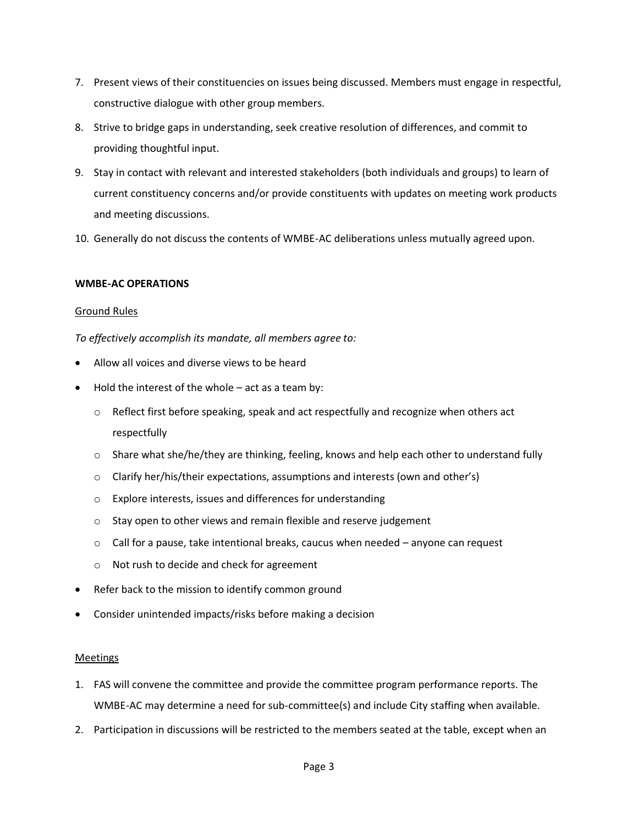- 7. Present views of their constituencies on issues being discussed. Members must engage in respectful, constructive dialogue with other group members.
- 8. Strive to bridge gaps in understanding, seek creative resolution of differences, and commit to providing thoughtful input.
- 9. Stay in contact with relevant and interested stakeholders (both individuals and groups) to learn of current constituency concerns and/or provide constituents with updates on meeting work products and meeting discussions.
- 10. Generally do not discuss the contents of WMBE-AC deliberations unless mutually agreed upon.

# **WMBE-AC OPERATIONS**

# Ground Rules

*To effectively accomplish its mandate, all members agree to:* 

- Allow all voices and diverse views to be heard
- Hold the interest of the whole  $-$  act as a team by:
	- o Reflect first before speaking, speak and act respectfully and recognize when others act respectfully
	- $\circ$  Share what she/he/they are thinking, feeling, knows and help each other to understand fully
	- o Clarify her/his/their expectations, assumptions and interests (own and other's)
	- o Explore interests, issues and differences for understanding
	- o Stay open to other views and remain flexible and reserve judgement
	- $\circ$  Call for a pause, take intentional breaks, caucus when needed anyone can request
	- o Not rush to decide and check for agreement
- Refer back to the mission to identify common ground
- Consider unintended impacts/risks before making a decision

#### Meetings

- 1. FAS will convene the committee and provide the committee program performance reports. The WMBE-AC may determine a need for sub-committee(s) and include City staffing when available.
- 2. Participation in discussions will be restricted to the members seated at the table, except when an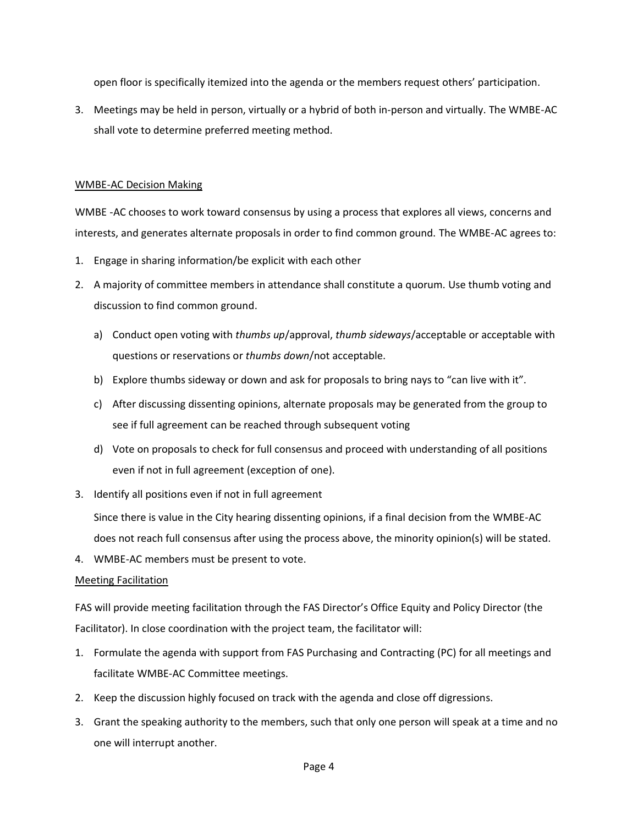open floor is specifically itemized into the agenda or the members request others' participation.

3. Meetings may be held in person, virtually or a hybrid of both in-person and virtually. The WMBE-AC shall vote to determine preferred meeting method.

# WMBE-AC Decision Making

WMBE -AC chooses to work toward consensus by using a process that explores all views, concerns and interests, and generates alternate proposals in order to find common ground. The WMBE-AC agrees to:

- 1. Engage in sharing information/be explicit with each other
- 2. A majority of committee members in attendance shall constitute a quorum. Use thumb voting and discussion to find common ground.
	- a) Conduct open voting with *thumbs up*/approval, *thumb sideways*/acceptable or acceptable with questions or reservations or *thumbs down*/not acceptable.
	- b) Explore thumbs sideway or down and ask for proposals to bring nays to "can live with it".
	- c) After discussing dissenting opinions, alternate proposals may be generated from the group to see if full agreement can be reached through subsequent voting
	- d) Vote on proposals to check for full consensus and proceed with understanding of all positions even if not in full agreement (exception of one).
- 3. Identify all positions even if not in full agreement

Since there is value in the City hearing dissenting opinions, if a final decision from the WMBE-AC does not reach full consensus after using the process above, the minority opinion(s) will be stated.

4. WMBE-AC members must be present to vote.

# Meeting Facilitation

FAS will provide meeting facilitation through the FAS Director's Office Equity and Policy Director (the Facilitator). In close coordination with the project team, the facilitator will:

- 1. Formulate the agenda with support from FAS Purchasing and Contracting (PC) for all meetings and facilitate WMBE-AC Committee meetings.
- 2. Keep the discussion highly focused on track with the agenda and close off digressions.
- 3. Grant the speaking authority to the members, such that only one person will speak at a time and no one will interrupt another.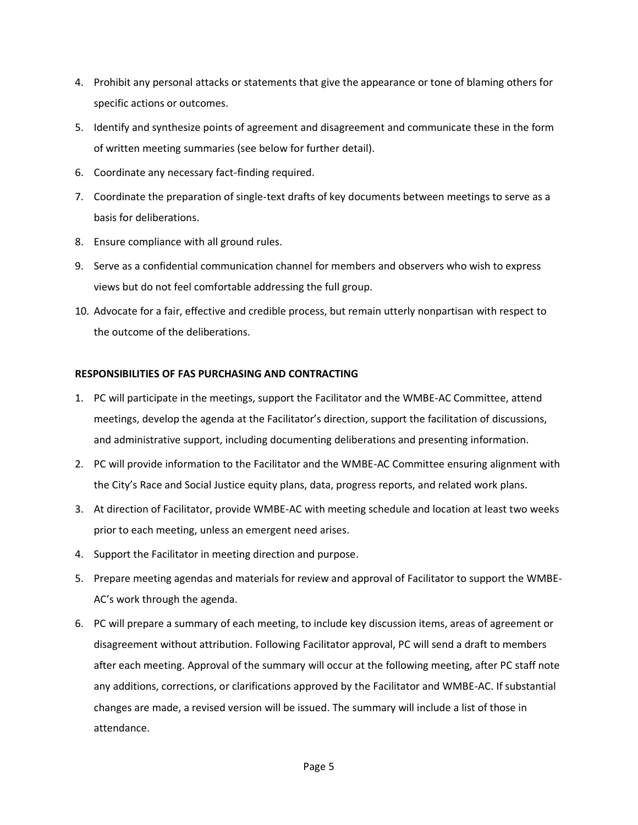- 4. Prohibit any personal attacks or statements that give the appearance or tone of blaming others for specific actions or outcomes.
- 5. Identify and synthesize points of agreement and disagreement and communicate these in the form of written meeting summaries (see below for further detail).
- 6. Coordinate any necessary fact-finding required.
- 7. Coordinate the preparation of single-text drafts of key documents between meetings to serve as a basis for deliberations.
- 8. Ensure compliance with all ground rules.
- 9. Serve as a confidential communication channel for members and observers who wish to express views but do not feel comfortable addressing the full group.
- 10. Advocate for a fair, effective and credible process, but remain utterly nonpartisan with respect to the outcome of the deliberations.

# **RESPONSIBILITIES OF FAS PURCHASING AND CONTRACTING**

- 1. PC will participate in the meetings, support the Facilitator and the WMBE-AC Committee, attend meetings, develop the agenda at the Facilitator's direction, support the facilitation of discussions, and administrative support, including documenting deliberations and presenting information.
- 2. PC will provide information to the Facilitator and the WMBE-AC Committee ensuring alignment with the City's Race and Social Justice equity plans, data, progress reports, and related work plans.
- 3. At direction of Facilitator, provide WMBE-AC with meeting schedule and location at least two weeks prior to each meeting, unless an emergent need arises.
- 4. Support the Facilitator in meeting direction and purpose.
- 5. Prepare meeting agendas and materials for review and approval of Facilitator to support the WMBE-AC's work through the agenda.
- 6. PC will prepare a summary of each meeting, to include key discussion items, areas of agreement or disagreement without attribution. Following Facilitator approval, PC will send a draft to members after each meeting. Approval of the summary will occur at the following meeting, after PC staff note any additions, corrections, or clarifications approved by the Facilitator and WMBE-AC. If substantial changes are made, a revised version will be issued. The summary will include a list of those in attendance.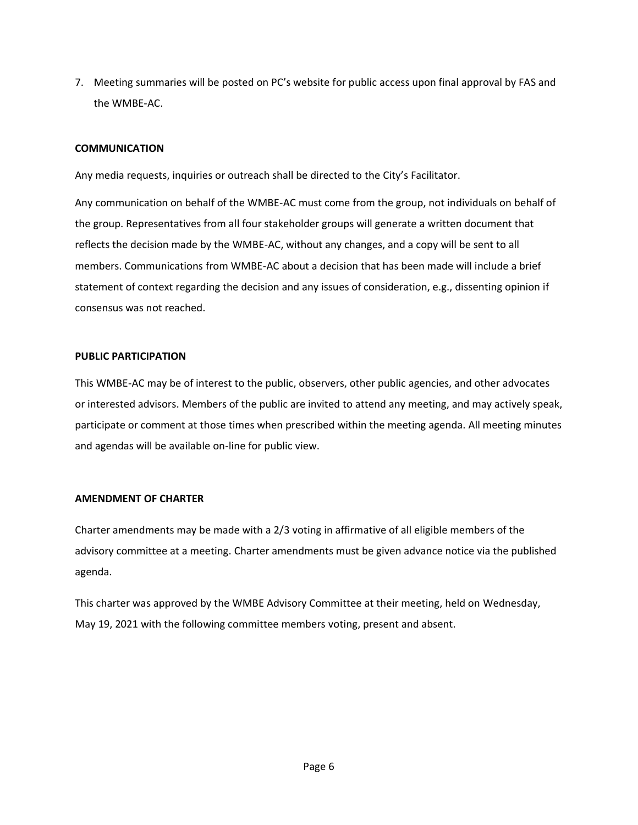7. Meeting summaries will be posted on PC's website for public access upon final approval by FAS and the WMBE-AC.

# **COMMUNICATION**

Any media requests, inquiries or outreach shall be directed to the City's Facilitator.

Any communication on behalf of the WMBE-AC must come from the group, not individuals on behalf of the group. Representatives from all four stakeholder groups will generate a written document that reflects the decision made by the WMBE-AC, without any changes, and a copy will be sent to all members. Communications from WMBE-AC about a decision that has been made will include a brief statement of context regarding the decision and any issues of consideration, e.g., dissenting opinion if consensus was not reached.

#### **PUBLIC PARTICIPATION**

This WMBE-AC may be of interest to the public, observers, other public agencies, and other advocates or interested advisors. Members of the public are invited to attend any meeting, and may actively speak, participate or comment at those times when prescribed within the meeting agenda. All meeting minutes and agendas will be available on-line for public view.

# **AMENDMENT OF CHARTER**

Charter amendments may be made with a 2/3 voting in affirmative of all eligible members of the advisory committee at a meeting. Charter amendments must be given advance notice via the published agenda.

This charter was approved by the WMBE Advisory Committee at their meeting, held on Wednesday, May 19, 2021 with the following committee members voting, present and absent.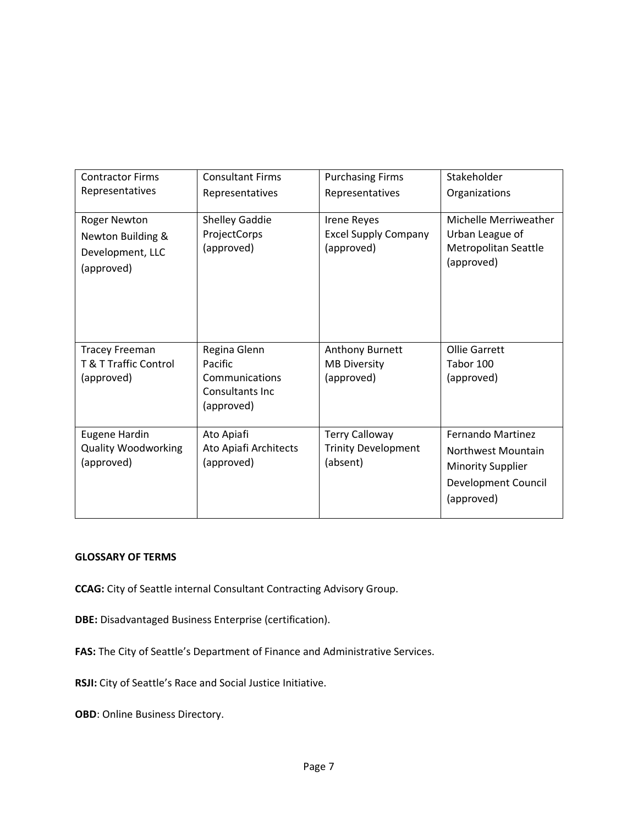| <b>Contractor Firms</b>                                                 | <b>Consultant Firms</b>                                                    | <b>Purchasing Firms</b>                                         | Stakeholder                                                                                              |
|-------------------------------------------------------------------------|----------------------------------------------------------------------------|-----------------------------------------------------------------|----------------------------------------------------------------------------------------------------------|
| Representatives                                                         | Representatives                                                            | Representatives                                                 | Organizations                                                                                            |
| Roger Newton<br>Newton Building &<br>Development, LLC<br>(approved)     | <b>Shelley Gaddie</b><br>ProjectCorps<br>(approved)                        | Irene Reyes<br><b>Excel Supply Company</b><br>(approved)        | Michelle Merriweather<br>Urban League of<br>Metropolitan Seattle<br>(approved)                           |
| <b>Tracey Freeman</b><br><b>T &amp; T Traffic Control</b><br>(approved) | Regina Glenn<br>Pacific<br>Communications<br>Consultants Inc<br>(approved) | Anthony Burnett<br><b>MB Diversity</b><br>(approved)            | Ollie Garrett<br>Tabor 100<br>(approved)                                                                 |
| <b>Eugene Hardin</b><br><b>Quality Woodworking</b><br>(approved)        | Ato Apiafi<br>Ato Apiafi Architects<br>(approved)                          | <b>Terry Calloway</b><br><b>Trinity Development</b><br>(absent) | Fernando Martinez<br>Northwest Mountain<br><b>Minority Supplier</b><br>Development Council<br>(approved) |

# **GLOSSARY OF TERMS**

**CCAG:** City of Seattle internal Consultant Contracting Advisory Group.

**DBE:** Disadvantaged Business Enterprise (certification).

**FAS:** The City of Seattle's Department of Finance and Administrative Services.

**RSJI:** City of Seattle's Race and Social Justice Initiative.

**OBD**: Online Business Directory.